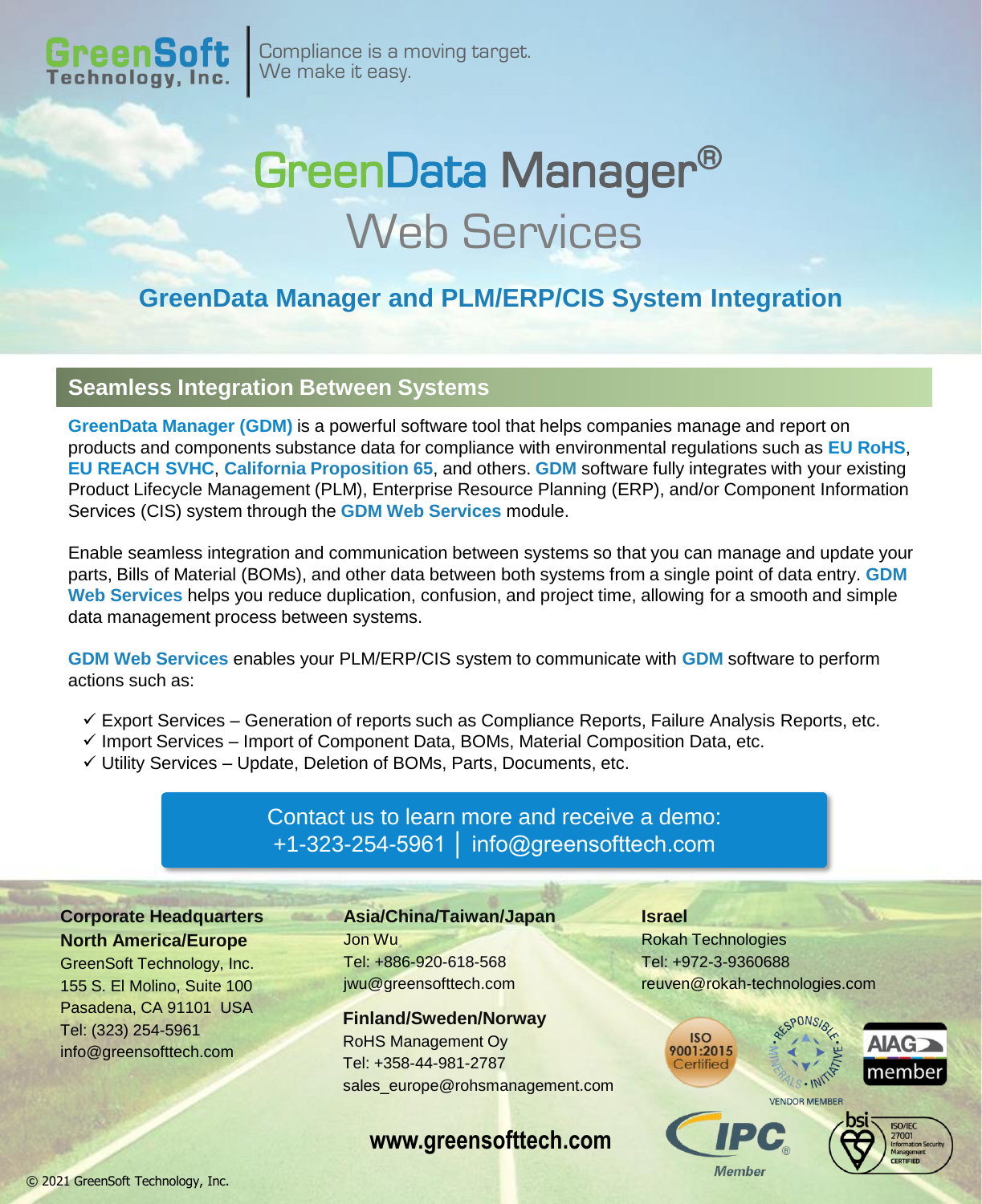

Compliance is a moving target. We make it easy.

# GreenData Manager® Web Services

## **GreenData Manager and PLM/ERP/CIS System Integration**

#### **Seamless Integration Between Systems**

**GreenData Manager (GDM)** is a powerful software tool that helps companies manage and report on products and components substance data for compliance with environmental regulations such as **EU RoHS**, **EU REACH SVHC**, **California Proposition 65**, and others. **GDM** software fully integrates with your existing Product Lifecycle Management (PLM), Enterprise Resource Planning (ERP), and/or Component Information Services (CIS) system through the **GDM Web Services** module.

Enable seamless integration and communication between systems so that you can manage and update your parts, Bills of Material (BOMs), and other data between both systems from a single point of data entry. **GDM Web Services** helps you reduce duplication, confusion, and project time, allowing for a smooth and simple data management process between systems.

**GDM Web Services** enables your PLM/ERP/CIS system to communicate with **GDM** software to perform actions such as:

- $\checkmark$  Export Services Generation of reports such as Compliance Reports, Failure Analysis Reports, etc.
- $\checkmark$  Import Services Import of Component Data, BOMs, Material Composition Data, etc.
- ✓ Utility Services Update, Deletion of BOMs, Parts, Documents, etc.

### Contact us to learn more and receive a demo: +1-323-254-5961 │ info@greensofttech.com

**Corporate Headquarters North America/Europe**

GreenSoft Technology, Inc. 155 S. El Molino, Suite 100 Pasadena, CA 91101 USA Tel: (323) 254-5961 info@greensofttech.com

**Asia/China/Taiwan/Japan** Jon Wu Tel: +886-920-618-568 jwu@greensofttech.com

#### **Finland/Sweden/Norway**

RoHS Management Oy Tel: +358-44-981-2787 sales\_europe@rohsmanagement.com

**www.greensofttech.com**

**Israel** Rokah Technologies Tel: +972-3-9360688 reuven@rokah-technologies.com







**Member**